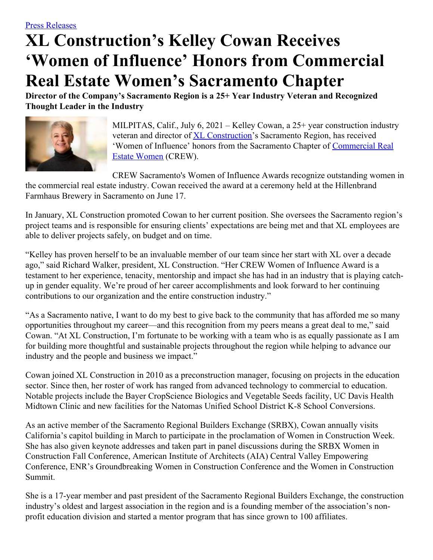## **XL Construction's Kelley Cowan Receives 'Women of Influence' Honors from Commercial Real Estate Women's Sacramento Chapter**

**Director of the Company's Sacramento Region is a 25+ Year Industry Veteran and Recognized Thought Leader in the Industry**



MILPITAS, Calif., July 6, 2021 – Kelley Cowan, a 25+ year construction industry veteran and director of **XL [Construction](http://www.xlconstruction.com/)**'s Sacramento Region, has received 'Women of Influence' honors from the Sacramento Chapter of [Commercial](https://crewsacto.org/home) Real Estate Women (CREW).

CREW Sacramento's Women of Influence Awards recognize outstanding women in the commercial real estate industry. Cowan received the award at a ceremony held at the Hillenbrand Farmhaus Brewery in Sacramento on June 17.

In January, XL Construction promoted Cowan to her current position. She oversees the Sacramento region's project teams and is responsible for ensuring clients' expectations are being met and that XL employees are able to deliver projects safely, on budget and on time.

"Kelley has proven herself to be an invaluable member of our team since her start with XL over a decade ago," said Richard Walker, president, XL Construction. "Her CREW Women of Influence Award is a testament to her experience, tenacity, mentorship and impact she has had in an industry that is playing catchup in gender equality. We're proud of her career accomplishments and look forward to her continuing contributions to our organization and the entire construction industry."

"As a Sacramento native, I want to do my best to give back to the community that has afforded me so many opportunities throughout my career—and this recognition from my peers means a great deal to me," said Cowan. "At XL Construction, I'm fortunate to be working with a team who is as equally passionate as I am for building more thoughtful and sustainable projects throughout the region while helping to advance our industry and the people and business we impact."

Cowan joined XL Construction in 2010 as a preconstruction manager, focusing on projects in the education sector. Since then, her roster of work has ranged from advanced technology to commercial to education. Notable projects include the Bayer CropScience Biologics and Vegetable Seeds facility, UC Davis Health Midtown Clinic and new facilities for the Natomas Unified School District K-8 School Conversions.

As an active member of the Sacramento Regional Builders Exchange (SRBX), Cowan annually visits California's capitol building in March to participate in the proclamation of Women in Construction Week. She has also given keynote addresses and taken part in panel discussions during the SRBX Women in Construction Fall Conference, American Institute of Architects (AIA) Central Valley Empowering Conference, ENR's Groundbreaking Women in Construction Conference and the Women in Construction Summit.

She is a 17-year member and past president of the Sacramento Regional Builders Exchange, the construction industry's oldest and largest association in the region and is a founding member of the association's nonprofit education division and started a mentor program that has since grown to 100 affiliates.